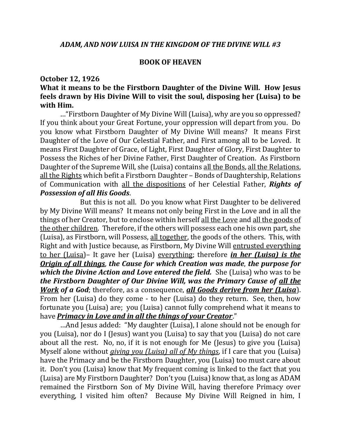## **BOOK OF HEAVEN**

## **October 12, 1926**

## **What it means to be the Firstborn Daughter of the Divine Will. How Jesus feels drawn by His Divine Will to visit the soul, disposing her (Luisa) to be with Him.**

…"Firstborn Daughter of My Divine Will (Luisa), why are you so oppressed? If you think about your Great Fortune, your oppression will depart from you. Do you know what Firstborn Daughter of My Divine Will means? It means First Daughter of the Love of Our Celestial Father, and First among all to be Loved. It means First Daughter of Grace, of Light, First Daughter of Glory, First Daughter to Possess the Riches of her Divine Father, First Daughter of Creation. As Firstborn Daughter of the Supreme Will, she (Luisa) contains all the Bonds, all the Relations, all the Rights which befit a Firstborn Daughter – Bonds of Daughtership, Relations of Communication with all the dispositions of her Celestial Father, *Rights of Possession of all His Goods*.

But this is not all. Do you know what First Daughter to be delivered by My Divine Will means? It means not only being First in the Love and in all the things of her Creator, but to enclose within herself all the Love and all the goods of the other children. Therefore, if the others will possess each one his own part, she (Luisa), as Firstborn, will Possess, all together, the goods of the others. This, with Right and with Justice because, as Firstborn, My Divine Will entrusted everything to her (Luisa)– It gave her (Luisa) everything; therefore *in her (Luisa) is the Origin of all things*, *the Cause for which Creation was made*, *the purpose for which the Divine Action and Love entered the field.* She (Luisa) who was to be *the Firstborn Daughter of Our Divine Will, was the Primary Cause of all the Work of a God*; therefore, as a consequence, *all Goods derive from her (Luisa*). From her (Luisa) do they come - to her (Luisa) do they return. See, then, how fortunate you (Luisa) are; you (Luisa) cannot fully comprehend what it means to have *Primacy in Love and in all the things of your Creator*."

…And Jesus added: "My daughter (Luisa), I alone should not be enough for you (Luisa), nor do I (Jesus) want you (Luisa) to say that you (Luisa) do not care about all the rest. No, no, if it is not enough for Me (Jesus) to give you (Luisa) Myself alone without *giving you (Luisa) all of My things*, if I care that you (Luisa) have the Primacy and be the Firstborn Daughter, you (Luisa) too must care about it. Don't you (Luisa) know that My frequent coming is linked to the fact that you (Luisa) are My Firstborn Daughter? Don't you (Luisa) know that, as long as ADAM remained the Firstborn Son of My Divine Will, having therefore Primacy over everything, I visited him often? Because My Divine Will Reigned in him, I